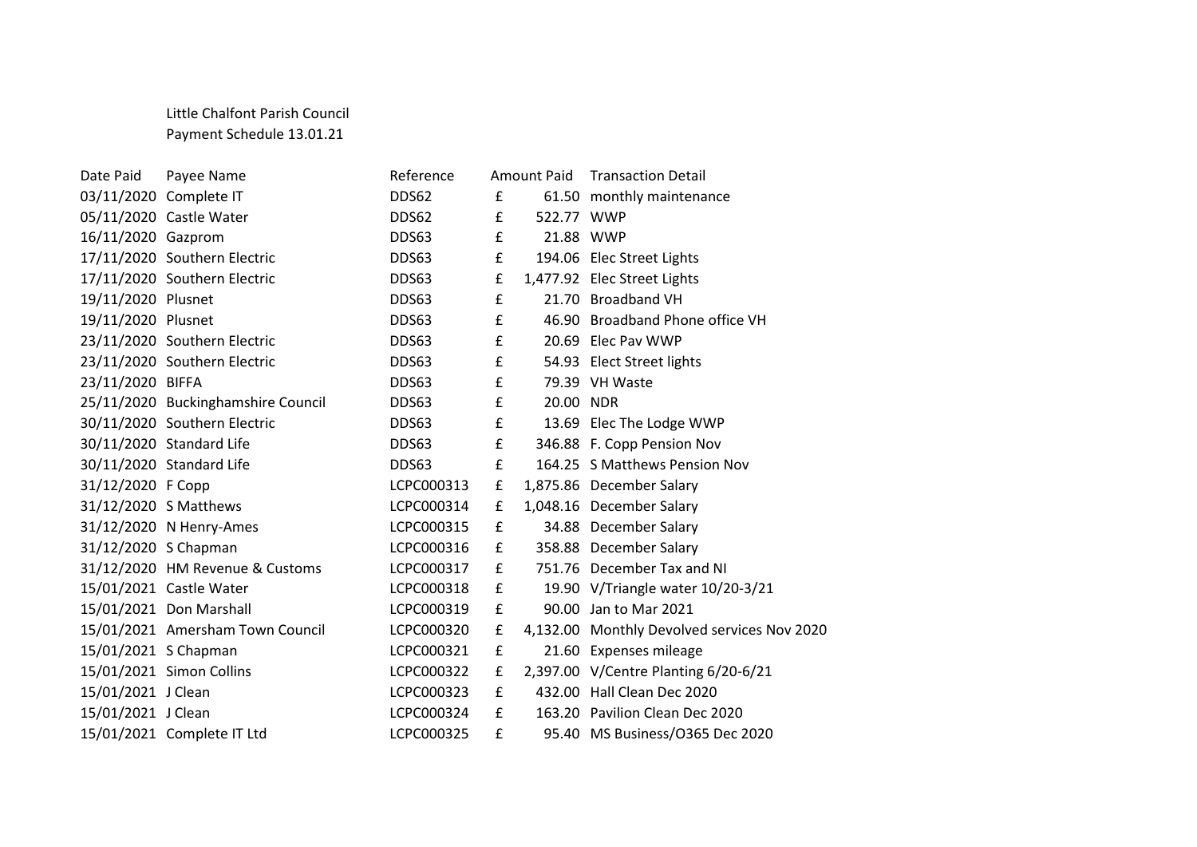## Little Chalfont Parish Council Payment Schedule 13.01.21

| Date Paid            | Payee Name                         | Reference  |             | <b>Amount Paid</b> | <b>Transaction Detail</b>                   |
|----------------------|------------------------------------|------------|-------------|--------------------|---------------------------------------------|
|                      | 03/11/2020 Complete IT             | DDS62      | £           |                    | 61.50 monthly maintenance                   |
|                      | 05/11/2020 Castle Water            | DDS62      | £           | 522.77 WWP         |                                             |
| 16/11/2020 Gazprom   |                                    | DDS63      | £           |                    | 21.88 WWP                                   |
|                      | 17/11/2020 Southern Electric       | DDS63      | £           |                    | 194.06 Elec Street Lights                   |
|                      | 17/11/2020 Southern Electric       | DDS63      | £           |                    | 1,477.92 Elec Street Lights                 |
| 19/11/2020 Plusnet   |                                    | DDS63      | £           |                    | 21.70 Broadband VH                          |
| 19/11/2020 Plusnet   |                                    | DDS63      | £           |                    | 46.90 Broadband Phone office VH             |
|                      | 23/11/2020 Southern Electric       | DDS63      | £           |                    | 20.69 Elec Pav WWP                          |
|                      | 23/11/2020 Southern Electric       | DDS63      | £           |                    | 54.93 Elect Street lights                   |
| 23/11/2020 BIFFA     |                                    | DDS63      | $\mathbf f$ |                    | 79.39 VH Waste                              |
|                      | 25/11/2020 Buckinghamshire Council | DDS63      | £           | 20.00 NDR          |                                             |
|                      | 30/11/2020 Southern Electric       | DDS63      | £           |                    | 13.69 Elec The Lodge WWP                    |
|                      | 30/11/2020 Standard Life           | DDS63      | £           |                    | 346.88 F. Copp Pension Nov                  |
|                      | 30/11/2020 Standard Life           | DDS63      | £           |                    | 164.25 S Matthews Pension Nov               |
| 31/12/2020 F Copp    |                                    | LCPC000313 | £           |                    | 1,875.86 December Salary                    |
|                      | 31/12/2020 S Matthews              | LCPC000314 | £           |                    | 1,048.16 December Salary                    |
|                      | 31/12/2020 N Henry-Ames            | LCPC000315 | £           |                    | 34.88 December Salary                       |
| 31/12/2020 S Chapman |                                    | LCPC000316 | £           |                    | 358.88 December Salary                      |
|                      | 31/12/2020 HM Revenue & Customs    | LCPC000317 | £           |                    | 751.76 December Tax and NI                  |
|                      | 15/01/2021 Castle Water            | LCPC000318 | £           |                    | 19.90 V/Triangle water 10/20-3/21           |
|                      | 15/01/2021 Don Marshall            | LCPC000319 | £           |                    | 90.00 Jan to Mar 2021                       |
|                      | 15/01/2021 Amersham Town Council   | LCPC000320 | £           |                    | 4,132.00 Monthly Devolved services Nov 2020 |
| 15/01/2021 S Chapman |                                    | LCPC000321 | £           |                    | 21.60 Expenses mileage                      |
|                      | 15/01/2021 Simon Collins           | LCPC000322 | £           |                    | 2,397.00 V/Centre Planting 6/20-6/21        |
| 15/01/2021 J Clean   |                                    | LCPC000323 | £           |                    | 432.00 Hall Clean Dec 2020                  |
| 15/01/2021 J Clean   |                                    | LCPC000324 | £           |                    | 163.20 Pavilion Clean Dec 2020              |
|                      | 15/01/2021 Complete IT Ltd         | LCPC000325 | £           |                    | 95.40 MS Business/O365 Dec 2020             |